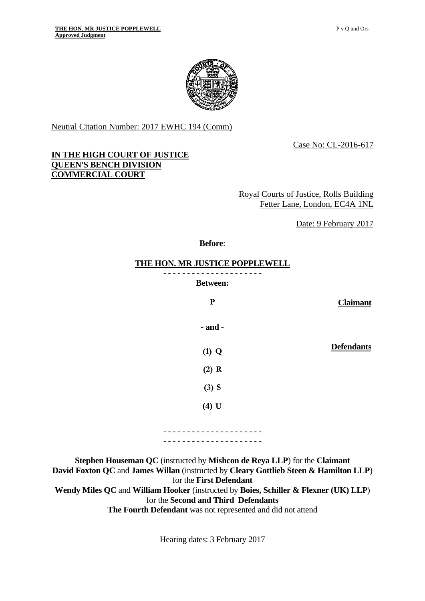

Neutral Citation Number: 2017 EWHC 194 (Comm)

Case No: CL-2016-617

## **IN THE HIGH COURT OF JUSTICE QUEEN'S BENCH DIVISION COMMERCIAL COURT**

Royal Courts of Justice, Rolls Building Fetter Lane, London, EC4A 1NL

Date: 9 February 2017

#### **Before**:

#### **THE HON. MR JUSTICE POPPLEWELL**

- - - - - - - - - - - - - - - - - - - - -

**Between:** 

**P Claimant** 

**- and -**

**Defendants (1) Q** 

**(3) S** 

**(2) R** 

**(4) U** 

- - - - - - - - - - - - - - - - - - - - - - - - - - - - - - - - - - - - - - - - - -

**Stephen Houseman QC** (instructed by **Mishcon de Reya LLP**) for the **Claimant David Foxton QC** and **James Willan** (instructed by **Cleary Gottlieb Steen & Hamilton LLP**) for the **First Defendant Wendy Miles QC** and **William Hooker** (instructed by **Boies, Schiller & Flexner (UK) LLP**) for the **Second and Third Defendants The Fourth Defendant** was not represented and did not attend

Hearing dates: 3 February 2017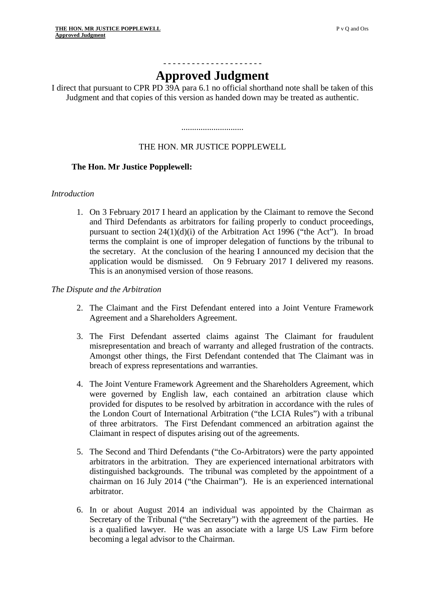# - - - - - - - - - - - - - - - - - - - - - **Approved Judgment**

I direct that pursuant to CPR PD 39A para 6.1 no official shorthand note shall be taken of this Judgment and that copies of this version as handed down may be treated as authentic.

## THE HON. MR JUSTICE POPPLEWELL

.............................

## **The Hon. Mr Justice Popplewell:**

#### *Introduction*

1. On 3 February 2017 I heard an application by the Claimant to remove the Second and Third Defendants as arbitrators for failing properly to conduct proceedings, pursuant to section 24(1)(d)(i) of the Arbitration Act 1996 ("the Act"). In broad terms the complaint is one of improper delegation of functions by the tribunal to the secretary. At the conclusion of the hearing I announced my decision that the application would be dismissed. On 9 February 2017 I delivered my reasons. This is an anonymised version of those reasons.

#### *The Dispute and the Arbitration*

- 2. The Claimant and the First Defendant entered into a Joint Venture Framework Agreement and a Shareholders Agreement.
- misrepresentation and breach of warranty and alleged frustration of the contracts. Amongst other things, the First Defendant contended that The Claimant was in 3. The First Defendant asserted claims against The Claimant for fraudulent breach of express representations and warranties.
- 4. The Joint Venture Framework Agreement and the Shareholders Agreement, which were governed by English law, each contained an arbitration clause which provided for disputes to be resolved by arbitration in accordance with the rules of the London Court of International Arbitration ("the LCIA Rules") with a tribunal of three arbitrators. The First Defendant commenced an arbitration against the Claimant in respect of disputes arising out of the agreements.
- 5. The Second and Third Defendants ("the Co-Arbitrators) were the party appointed arbitrators in the arbitration. They are experienced international arbitrators with distinguished backgrounds. The tribunal was completed by the appointment of a chairman on 16 July 2014 ("the Chairman"). He is an experienced international arbitrator.
- 6. In or about August 2014 an individual was appointed by the Chairman as Secretary of the Tribunal ("the Secretary") with the agreement of the parties. He is a qualified lawyer. He was an associate with a large US Law Firm before becoming a legal advisor to the Chairman.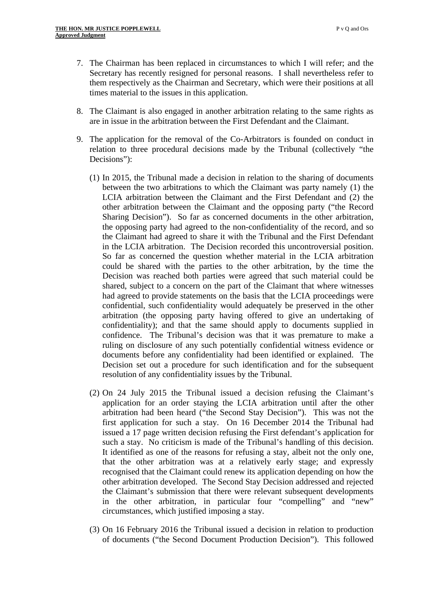- 7. The Chairman has been replaced in circumstances to which I will refer; and the Secretary has recently resigned for personal reasons. I shall nevertheless refer to them respectively as the Chairman and Secretary, which were their positions at all times material to the issues in this application.
- 8. The Claimant is also engaged in another arbitration relating to the same rights as are in issue in the arbitration between the First Defendant and the Claimant.
- 9. The application for the removal of the Co-Arbitrators is founded on conduct in relation to three procedural decisions made by the Tribunal (collectively "the Decisions"):
	- in the LCIA arbitration. The Decision recorded this uncontroversial position. (1) In 2015, the Tribunal made a decision in relation to the sharing of documents between the two arbitrations to which the Claimant was party namely (1) the LCIA arbitration between the Claimant and the First Defendant and (2) the other arbitration between the Claimant and the opposing party ("the Record Sharing Decision"). So far as concerned documents in the other arbitration, the opposing party had agreed to the non-confidentiality of the record, and so the Claimant had agreed to share it with the Tribunal and the First Defendant So far as concerned the question whether material in the LCIA arbitration. could be shared with the parties to the other arbitration, by the time the Decision was reached both parties were agreed that such material could be shared, subject to a concern on the part of the Claimant that where witnesses had agreed to provide statements on the basis that the LCIA proceedings were confidential, such confidentiality would adequately be preserved in the other arbitration (the opposing party having offered to give an undertaking of confidentiality); and that the same should apply to documents supplied in confidence. The Tribunal's decision was that it was premature to make a ruling on disclosure of any such potentially confidential witness evidence or documents before any confidentiality had been identified or explained. The Decision set out a procedure for such identification and for the subsequent resolution of any confidentiality issues by the Tribunal.
	- (2) On 24 July 2015 the Tribunal issued a decision refusing the Claimant's application for an order staying the LCIA arbitration until after the other arbitration had been heard ("the Second Stay Decision"). This was not the first application for such a stay. On 16 December 2014 the Tribunal had issued a 17 page written decision refusing the First defendant's application for such a stay. No criticism is made of the Tribunal's handling of this decision. It identified as one of the reasons for refusing a stay, albeit not the only one, that the other arbitration was at a relatively early stage; and expressly recognised that the Claimant could renew its application depending on how the other arbitration developed. The Second Stay Decision addressed and rejected the Claimant's submission that there were relevant subsequent developments in the other arbitration, in particular four "compelling" and "new" circumstances, which justified imposing a stay.
	- (3) On 16 February 2016 the Tribunal issued a decision in relation to production of documents ("the Second Document Production Decision"). This followed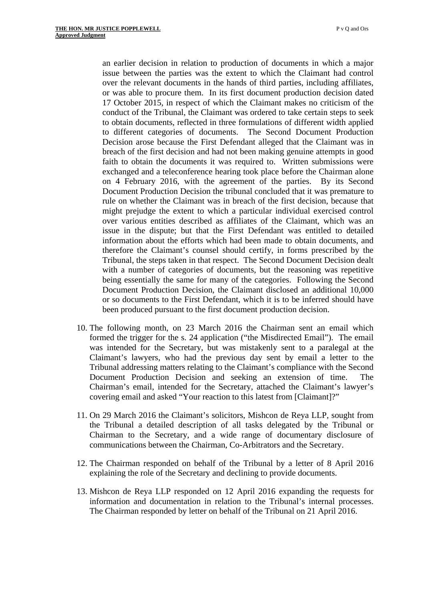an earlier decision in relation to production of documents in which a major issue between the parties was the extent to which the Claimant had control over the relevant documents in the hands of third parties, including affiliates, or was able to procure them. In its first document production decision dated 17 October 2015, in respect of which the Claimant makes no criticism of the conduct of the Tribunal, the Claimant was ordered to take certain steps to seek to obtain documents, reflected in three formulations of different width applied to different categories of documents. The Second Document Production Decision arose because the First Defendant alleged that the Claimant was in breach of the first decision and had not been making genuine attempts in good faith to obtain the documents it was required to. Written submissions were exchanged and a teleconference hearing took place before the Chairman alone on 4 February 2016, with the agreement of the parties. By its Second Document Production Decision the tribunal concluded that it was premature to rule on whether the Claimant was in breach of the first decision, because that might prejudge the extent to which a particular individual exercised control over various entities described as affiliates of the Claimant, which was an issue in the dispute; but that the First Defendant was entitled to detailed information about the efforts which had been made to obtain documents, and therefore the Claimant's counsel should certify, in forms prescribed by the Tribunal, the steps taken in that respect. The Second Document Decision dealt with a number of categories of documents, but the reasoning was repetitive being essentially the same for many of the categories. Following the Second Document Production Decision, the Claimant disclosed an additional 10,000 or so documents to the First Defendant, which it is to be inferred should have been produced pursuant to the first document production decision.

- covering email and asked "Your reaction to this latest from [Claimant]?" 10. The following month, on 23 March 2016 the Chairman sent an email which formed the trigger for the s. 24 application ("the Misdirected Email"). The email was intended for the Secretary, but was mistakenly sent to a paralegal at the Claimant's lawyers, who had the previous day sent by email a letter to the Tribunal addressing matters relating to the Claimant's compliance with the Second Document Production Decision and seeking an extension of time. The Chairman's email, intended for the Secretary, attached the Claimant's lawyer's
- 11. On 29 March 2016 the Claimant's solicitors, Mishcon de Reya LLP, sought from the Tribunal a detailed description of all tasks delegated by the Tribunal or Chairman to the Secretary, and a wide range of documentary disclosure of communications between the Chairman, Co-Arbitrators and the Secretary.
- 12. The Chairman responded on behalf of the Tribunal by a letter of 8 April 2016 explaining the role of the Secretary and declining to provide documents.
- 13. Mishcon de Reya LLP responded on 12 April 2016 expanding the requests for information and documentation in relation to the Tribunal's internal processes. The Chairman responded by letter on behalf of the Tribunal on 21 April 2016.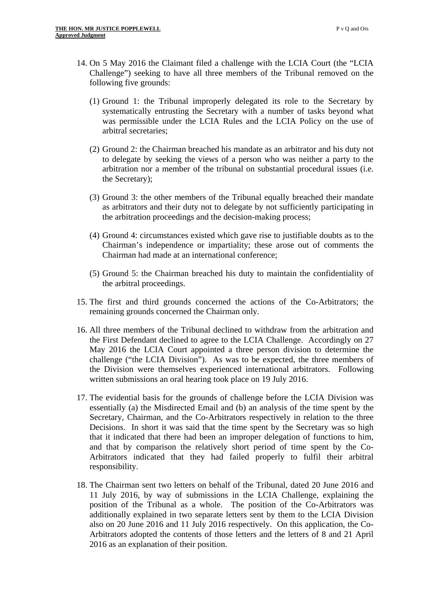- 14. On 5 May 2016 the Claimant filed a challenge with the LCIA Court (the "LCIA Challenge") seeking to have all three members of the Tribunal removed on the following five grounds:
	- (1) Ground 1: the Tribunal improperly delegated its role to the Secretary by systematically entrusting the Secretary with a number of tasks beyond what was permissible under the LCIA Rules and the LCIA Policy on the use of arbitral secretaries;
	- (2) Ground 2: the Chairman breached his mandate as an arbitrator and his duty not to delegate by seeking the views of a person who was neither a party to the arbitration nor a member of the tribunal on substantial procedural issues (i.e. the Secretary);
	- (3) Ground 3: the other members of the Tribunal equally breached their mandate as arbitrators and their duty not to delegate by not sufficiently participating in the arbitration proceedings and the decision-making process;
	- (4) Ground 4: circumstances existed which gave rise to justifiable doubts as to the Chairman's independence or impartiality; these arose out of comments the Chairman had made at an international conference;
	- (5) Ground 5: the Chairman breached his duty to maintain the confidentiality of the arbitral proceedings.
- 15. The first and third grounds concerned the actions of the Co-Arbitrators; the remaining grounds concerned the Chairman only.
- 16. All three members of the Tribunal declined to withdraw from the arbitration and the First Defendant declined to agree to the LCIA Challenge. Accordingly on 27 May 2016 the LCIA Court appointed a three person division to determine the challenge ("the LCIA Division"). As was to be expected, the three members of the Division were themselves experienced international arbitrators. Following written submissions an oral hearing took place on 19 July 2016.
- 17. The evidential basis for the grounds of challenge before the LCIA Division was essentially (a) the Misdirected Email and (b) an analysis of the time spent by the Secretary, Chairman, and the Co-Arbitrators respectively in relation to the three Decisions. In short it was said that the time spent by the Secretary was so high that it indicated that there had been an improper delegation of functions to him, and that by comparison the relatively short period of time spent by the Co-Arbitrators indicated that they had failed properly to fulfil their arbitral responsibility.
- 18. The Chairman sent two letters on behalf of the Tribunal, dated 20 June 2016 and 11 July 2016, by way of submissions in the LCIA Challenge, explaining the position of the Tribunal as a whole. The position of the Co-Arbitrators was additionally explained in two separate letters sent by them to the LCIA Division also on 20 June 2016 and 11 July 2016 respectively. On this application, the Co-Arbitrators adopted the contents of those letters and the letters of 8 and 21 April 2016 as an explanation of their position.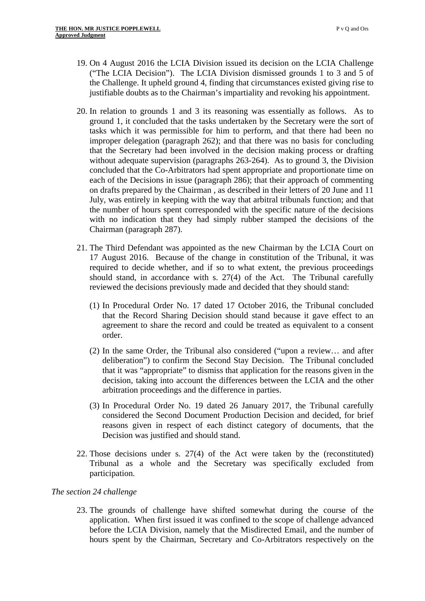- 19. On 4 August 2016 the LCIA Division issued its decision on the LCIA Challenge ("The LCIA Decision"). The LCIA Division dismissed grounds 1 to 3 and 5 of the Challenge. It upheld ground 4, finding that circumstances existed giving rise to justifiable doubts as to the Chairman's impartiality and revoking his appointment.
- 20. In relation to grounds 1 and 3 its reasoning was essentially as follows. As to ground 1, it concluded that the tasks undertaken by the Secretary were the sort of tasks which it was permissible for him to perform, and that there had been no improper delegation (paragraph 262); and that there was no basis for concluding that the Secretary had been involved in the decision making process or drafting without adequate supervision (paragraphs 263-264). As to ground 3, the Division concluded that the Co-Arbitrators had spent appropriate and proportionate time on each of the Decisions in issue (paragraph 286); that their approach of commenting on drafts prepared by the Chairman , as described in their letters of 20 June and 11 July, was entirely in keeping with the way that arbitral tribunals function; and that the number of hours spent corresponded with the specific nature of the decisions with no indication that they had simply rubber stamped the decisions of the Chairman (paragraph 287).
- 21. The Third Defendant was appointed as the new Chairman by the LCIA Court on 17 August 2016. Because of the change in constitution of the Tribunal, it was required to decide whether, and if so to what extent, the previous proceedings should stand, in accordance with s. 27(4) of the Act. The Tribunal carefully reviewed the decisions previously made and decided that they should stand:
	- (1) In Procedural Order No. 17 dated 17 October 2016, the Tribunal concluded that the Record Sharing Decision should stand because it gave effect to an agreement to share the record and could be treated as equivalent to a consent order.
	- (2) In the same Order, the Tribunal also considered ("upon a review… and after deliberation") to confirm the Second Stay Decision. The Tribunal concluded that it was "appropriate" to dismiss that application for the reasons given in the decision, taking into account the differences between the LCIA and the other arbitration proceedings and the difference in parties.
	- (3) In Procedural Order No. 19 dated 26 January 2017, the Tribunal carefully considered the Second Document Production Decision and decided, for brief reasons given in respect of each distinct category of documents, that the Decision was justified and should stand.
- participation. 22. Those decisions under s. 27(4) of the Act were taken by the (reconstituted) Tribunal as a whole and the Secretary was specifically excluded from

## *The section 24 challenge*

23. The grounds of challenge have shifted somewhat during the course of the application. When first issued it was confined to the scope of challenge advanced before the LCIA Division, namely that the Misdirected Email, and the number of hours spent by the Chairman, Secretary and Co-Arbitrators respectively on the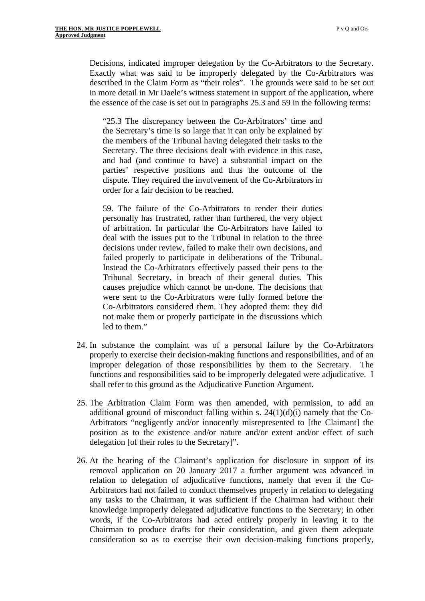Decisions, indicated improper delegation by the Co-Arbitrators to the Secretary. Exactly what was said to be improperly delegated by the Co-Arbitrators was described in the Claim Form as "their roles". The grounds were said to be set out in more detail in Mr Daele's witness statement in support of the application, where the essence of the case is set out in paragraphs 25.3 and 59 in the following terms:

"25.3 The discrepancy between the Co-Arbitrators' time and the Secretary's time is so large that it can only be explained by the members of the Tribunal having delegated their tasks to the Secretary. The three decisions dealt with evidence in this case, and had (and continue to have) a substantial impact on the parties' respective positions and thus the outcome of the dispute. They required the involvement of the Co-Arbitrators in order for a fair decision to be reached.

59. The failure of the Co-Arbitrators to render their duties personally has frustrated, rather than furthered, the very object of arbitration. In particular the Co-Arbitrators have failed to deal with the issues put to the Tribunal in relation to the three decisions under review, failed to make their own decisions, and failed properly to participate in deliberations of the Tribunal. Instead the Co-Arbitrators effectively passed their pens to the Tribunal Secretary, in breach of their general duties. This causes prejudice which cannot be un-done. The decisions that were sent to the Co-Arbitrators were fully formed before the Co-Arbitrators considered them. They adopted them: they did not make them or properly participate in the discussions which led to them."

- 24. In substance the complaint was of a personal failure by the Co-Arbitrators properly to exercise their decision-making functions and responsibilities, and of an improper delegation of those responsibilities by them to the Secretary. The functions and responsibilities said to be improperly delegated were adjudicative. I shall refer to this ground as the Adjudicative Function Argument.
- 25. The Arbitration Claim Form was then amended, with permission, to add an additional ground of misconduct falling within s.  $24(1)(d)(i)$  namely that the Co-Arbitrators "negligently and/or innocently misrepresented to [the Claimant] the position as to the existence and/or nature and/or extent and/or effect of such delegation [of their roles to the Secretary]".
- 26. At the hearing of the Claimant's application for disclosure in support of its removal application on 20 January 2017 a further argument was advanced in relation to delegation of adjudicative functions, namely that even if the Co-Arbitrators had not failed to conduct themselves properly in relation to delegating any tasks to the Chairman, it was sufficient if the Chairman had without their knowledge improperly delegated adjudicative functions to the Secretary; in other words, if the Co-Arbitrators had acted entirely properly in leaving it to the Chairman to produce drafts for their consideration, and given them adequate consideration so as to exercise their own decision-making functions properly,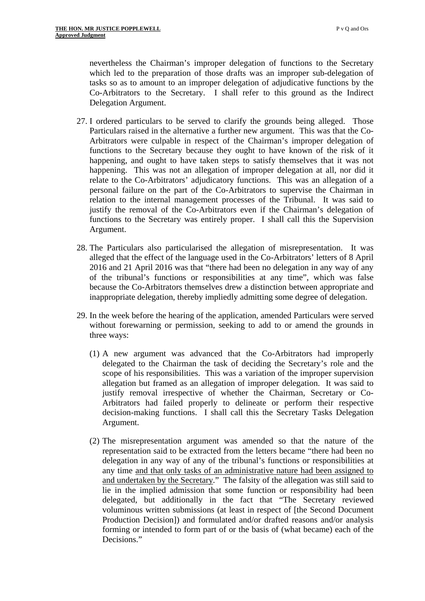nevertheless the Chairman's improper delegation of functions to the Secretary which led to the preparation of those drafts was an improper sub-delegation of tasks so as to amount to an improper delegation of adjudicative functions by the Co-Arbitrators to the Secretary. I shall refer to this ground as the Indirect Delegation Argument.

- 27. I ordered particulars to be served to clarify the grounds being alleged. Those Particulars raised in the alternative a further new argument. This was that the Co-Arbitrators were culpable in respect of the Chairman's improper delegation of functions to the Secretary because they ought to have known of the risk of it happening, and ought to have taken steps to satisfy themselves that it was not happening. This was not an allegation of improper delegation at all, nor did it relate to the Co-Arbitrators' adjudicatory functions. This was an allegation of a personal failure on the part of the Co-Arbitrators to supervise the Chairman in relation to the internal management processes of the Tribunal. It was said to justify the removal of the Co-Arbitrators even if the Chairman's delegation of functions to the Secretary was entirely proper. I shall call this the Supervision Argument.
- 28. The Particulars also particularised the allegation of misrepresentation. It was alleged that the effect of the language used in the Co-Arbitrators' letters of 8 April 2016 and 21 April 2016 was that "there had been no delegation in any way of any of the tribunal's functions or responsibilities at any time", which was false because the Co-Arbitrators themselves drew a distinction between appropriate and inappropriate delegation, thereby impliedly admitting some degree of delegation.
- 29. In the week before the hearing of the application, amended Particulars were served without forewarning or permission, seeking to add to or amend the grounds in three ways:
	- (1) A new argument was advanced that the Co-Arbitrators had improperly delegated to the Chairman the task of deciding the Secretary's role and the scope of his responsibilities. This was a variation of the improper supervision allegation but framed as an allegation of improper delegation. It was said to justify removal irrespective of whether the Chairman, Secretary or Co-Arbitrators had failed properly to delineate or perform their respective decision-making functions. I shall call this the Secretary Tasks Delegation Argument.
	- (2) The misrepresentation argument was amended so that the nature of the representation said to be extracted from the letters became "there had been no delegation in any way of any of the tribunal's functions or responsibilities at any time and that only tasks of an administrative nature had been assigned to and undertaken by the Secretary." The falsity of the allegation was still said to lie in the implied admission that some function or responsibility had been delegated, but additionally in the fact that "The Secretary reviewed voluminous written submissions (at least in respect of [the Second Document Production Decision]) and formulated and/or drafted reasons and/or analysis forming or intended to form part of or the basis of (what became) each of the Decisions."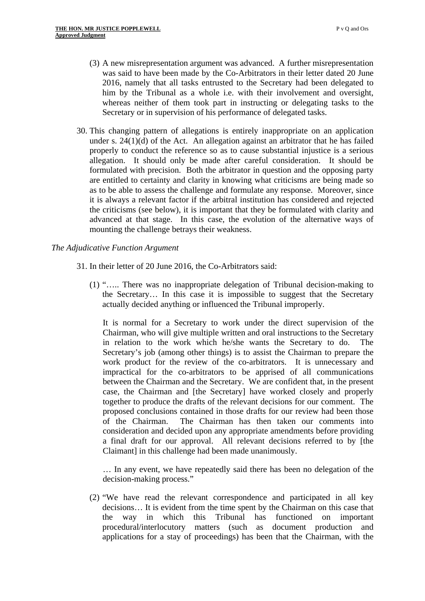- (3) A new misrepresentation argument was advanced. A further misrepresentation was said to have been made by the Co-Arbitrators in their letter dated 20 June 2016, namely that all tasks entrusted to the Secretary had been delegated to him by the Tribunal as a whole i.e. with their involvement and oversight, whereas neither of them took part in instructing or delegating tasks to the Secretary or in supervision of his performance of delegated tasks.
- 30. This changing pattern of allegations is entirely inappropriate on an application under s.  $24(1)(d)$  of the Act. An allegation against an arbitrator that he has failed properly to conduct the reference so as to cause substantial injustice is a serious allegation. It should only be made after careful consideration. It should be formulated with precision. Both the arbitrator in question and the opposing party are entitled to certainty and clarity in knowing what criticisms are being made so as to be able to assess the challenge and formulate any response. Moreover, since it is always a relevant factor if the arbitral institution has considered and rejected the criticisms (see below), it is important that they be formulated with clarity and advanced at that stage. In this case, the evolution of the alternative ways of mounting the challenge betrays their weakness.

## *The Adjudicative Function Argument*

- 31. In their letter of 20 June 2016, the Co-Arbitrators said:
	- (1) "….. There was no inappropriate delegation of Tribunal decision-making to the Secretary… In this case it is impossible to suggest that the Secretary actually decided anything or influenced the Tribunal improperly.

It is normal for a Secretary to work under the direct supervision of the Chairman, who will give multiple written and oral instructions to the Secretary in relation to the work which he/she wants the Secretary to do. The Secretary's job (among other things) is to assist the Chairman to prepare the work product for the review of the co-arbitrators. It is unnecessary and impractical for the co-arbitrators to be apprised of all communications between the Chairman and the Secretary. We are confident that, in the present case, the Chairman and [the Secretary] have worked closely and properly together to produce the drafts of the relevant decisions for our comment. The proposed conclusions contained in those drafts for our review had been those of the Chairman. The Chairman has then taken our comments into consideration and decided upon any appropriate amendments before providing a final draft for our approval. All relevant decisions referred to by [the Claimant] in this challenge had been made unanimously.

… In any event, we have repeatedly said there has been no delegation of the decision-making process."

(2) "We have read the relevant correspondence and participated in all key decisions… It is evident from the time spent by the Chairman on this case that the way in which this Tribunal has functioned on important procedural/interlocutory matters (such as document production and applications for a stay of proceedings) has been that the Chairman, with the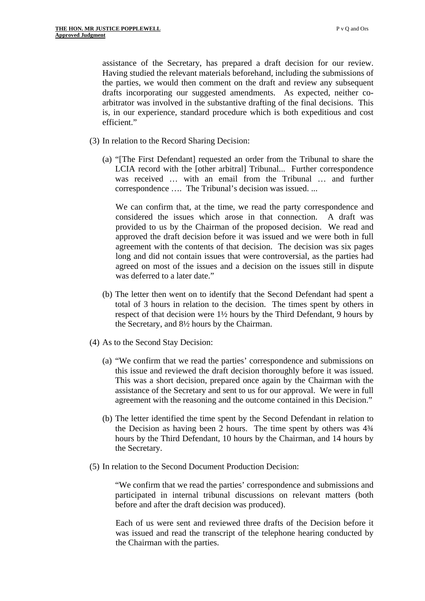assistance of the Secretary, has prepared a draft decision for our review. Having studied the relevant materials beforehand, including the submissions of the parties, we would then comment on the draft and review any subsequent drafts incorporating our suggested amendments. As expected, neither coarbitrator was involved in the substantive drafting of the final decisions. This is, in our experience, standard procedure which is both expeditious and cost efficient."

- (3) In relation to the Record Sharing Decision:
	- (a) "[The First Defendant] requested an order from the Tribunal to share the LCIA record with the [other arbitral] Tribunal... Further correspondence was received ... with an email from the Tribunal ... and further correspondence …. The Tribunal's decision was issued. ...

We can confirm that, at the time, we read the party correspondence and considered the issues which arose in that connection. A draft was provided to us by the Chairman of the proposed decision. We read and approved the draft decision before it was issued and we were both in full agreement with the contents of that decision. The decision was six pages long and did not contain issues that were controversial, as the parties had agreed on most of the issues and a decision on the issues still in dispute was deferred to a later date."

- (b) The letter then went on to identify that the Second Defendant had spent a total of 3 hours in relation to the decision. The times spent by others in respect of that decision were 1½ hours by the Third Defendant, 9 hours by the Secretary, and 8½ hours by the Chairman.
- (4) As to the Second Stay Decision:
	- (a) "We confirm that we read the parties' correspondence and submissions on this issue and reviewed the draft decision thoroughly before it was issued. This was a short decision, prepared once again by the Chairman with the assistance of the Secretary and sent to us for our approval. We were in full agreement with the reasoning and the outcome contained in this Decision."
	- (b) The letter identified the time spent by the Second Defendant in relation to the Decision as having been 2 hours. The time spent by others was 4¾ hours by the Third Defendant, 10 hours by the Chairman, and 14 hours by the Secretary.
- (5) In relation to the Second Document Production Decision:

"We confirm that we read the parties' correspondence and submissions and participated in internal tribunal discussions on relevant matters (both before and after the draft decision was produced).

Each of us were sent and reviewed three drafts of the Decision before it was issued and read the transcript of the telephone hearing conducted by the Chairman with the parties.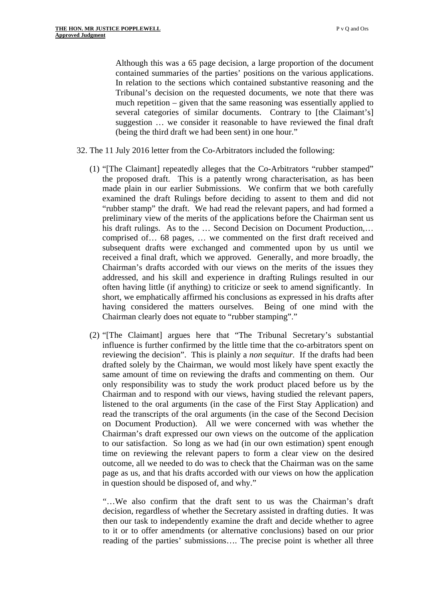contained summaries of the parties' positions on the various applications. In relation to the sections which contained substantive reasoning and the Although this was a 65 page decision, a large proportion of the document Tribunal's decision on the requested documents, we note that there was much repetition – given that the same reasoning was essentially applied to several categories of similar documents. Contrary to [the Claimant's] suggestion … we consider it reasonable to have reviewed the final draft (being the third draft we had been sent) in one hour."

- 32. The 11 July 2016 letter from the Co-Arbitrators included the following:
	- (1) "[The Claimant] repeatedly alleges that the Co-Arbitrators "rubber stamped" the proposed draft. This is a patently wrong characterisation, as has been made plain in our earlier Submissions. We confirm that we both carefully examined the draft Rulings before deciding to assent to them and did not "rubber stamp" the draft. We had read the relevant papers, and had formed a preliminary view of the merits of the applications before the Chairman sent us his draft rulings. As to the … Second Decision on Document Production,… comprised of… 68 pages, … we commented on the first draft received and subsequent drafts were exchanged and commented upon by us until we received a final draft, which we approved. Generally, and more broadly, the Chairman's drafts accorded with our views on the merits of the issues they addressed, and his skill and experience in drafting Rulings resulted in our often having little (if anything) to criticize or seek to amend significantly. In short, we emphatically affirmed his conclusions as expressed in his drafts after having considered the matters ourselves. Being of one mind with the Chairman clearly does not equate to "rubber stamping"."
	- (2) "[The Claimant] argues here that "The Tribunal Secretary's substantial influence is further confirmed by the little time that the co-arbitrators spent on reviewing the decision". This is plainly a *non sequitur.* If the drafts had been drafted solely by the Chairman, we would most likely have spent exactly the same amount of time on reviewing the drafts and commenting on them. Our only responsibility was to study the work product placed before us by the Chairman and to respond with our views, having studied the relevant papers, listened to the oral arguments (in the case of the First Stay Application) and read the transcripts of the oral arguments (in the case of the Second Decision on Document Production). All we were concerned with was whether the Chairman's draft expressed our own views on the outcome of the application to our satisfaction. So long as we had (in our own estimation) spent enough time on reviewing the relevant papers to form a clear view on the desired outcome, all we needed to do was to check that the Chairman was on the same page as us, and that his drafts accorded with our views on how the application in question should be disposed of, and why."

"…We also confirm that the draft sent to us was the Chairman's draft decision, regardless of whether the Secretary assisted in drafting duties. It was then our task to independently examine the draft and decide whether to agree to it or to offer amendments (or alternative conclusions) based on our prior reading of the parties' submissions…. The precise point is whether all three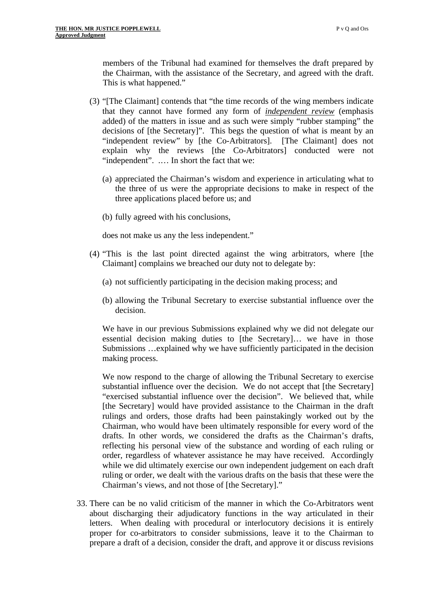the Chairman, with the assistance of the Secretary, and agreed with the draft. This is what happened." members of the Tribunal had examined for themselves the draft prepared by

- (3) "[The Claimant] contends that "the time records of the wing members indicate that they cannot have formed any form of *independent review* (emphasis added) of the matters in issue and as such were simply "rubber stamping" the decisions of [the Secretary]". This begs the question of what is meant by an "independent review" by [the Co-Arbitrators]. [The Claimant] does not explain why the reviews [the Co-Arbitrators] conducted were not "independent". .... In short the fact that we:
	- (a) appreciated the Chairman's wisdom and experience in articulating what to the three of us were the appropriate decisions to make in respect of the three applications placed before us; and
	- (b) fully agreed with his conclusions,

does not make us any the less independent."

- (4) "This is the last point directed against the wing arbitrators, where [the Claimant] complains we breached our duty not to delegate by:
	- (a) not sufficiently participating in the decision making process; and
	- (b) allowing the Tribunal Secretary to exercise substantial influence over the decision.

We have in our previous Submissions explained why we did not delegate our essential decision making duties to [the Secretary]… we have in those Submissions …explained why we have sufficiently participated in the decision making process.

We now respond to the charge of allowing the Tribunal Secretary to exercise substantial influence over the decision. We do not accept that [the Secretary] "exercised substantial influence over the decision". We believed that, while [the Secretary] would have provided assistance to the Chairman in the draft rulings and orders, those drafts had been painstakingly worked out by the Chairman, who would have been ultimately responsible for every word of the drafts. In other words, we considered the drafts as the Chairman's drafts, reflecting his personal view of the substance and wording of each ruling or order, regardless of whatever assistance he may have received. Accordingly while we did ultimately exercise our own independent judgement on each draft ruling or order, we dealt with the various drafts on the basis that these were the Chairman's views, and not those of [the Secretary]."

33. There can be no valid criticism of the manner in which the Co-Arbitrators went about discharging their adjudicatory functions in the way articulated in their letters. When dealing with procedural or interlocutory decisions it is entirely proper for co-arbitrators to consider submissions, leave it to the Chairman to prepare a draft of a decision, consider the draft, and approve it or discuss revisions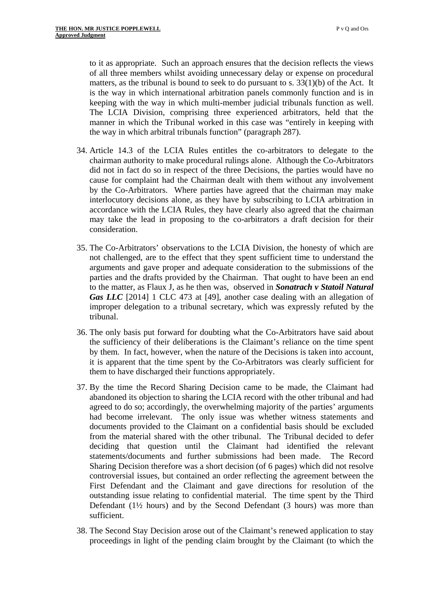to it as appropriate. Such an approach ensures that the decision reflects the views of all three members whilst avoiding unnecessary delay or expense on procedural matters, as the tribunal is bound to seek to do pursuant to s. 33(1)(b) of the Act. It is the way in which international arbitration panels commonly function and is in keeping with the way in which multi-member judicial tribunals function as well. The LCIA Division, comprising three experienced arbitrators, held that the manner in which the Tribunal worked in this case was "entirely in keeping with the way in which arbitral tribunals function" (paragraph 287).

- 34. Article 14.3 of the LCIA Rules entitles the co-arbitrators to delegate to the chairman authority to make procedural rulings alone. Although the Co-Arbitrators did not in fact do so in respect of the three Decisions, the parties would have no cause for complaint had the Chairman dealt with them without any involvement by the Co-Arbitrators. Where parties have agreed that the chairman may make interlocutory decisions alone, as they have by subscribing to LCIA arbitration in accordance with the LCIA Rules, they have clearly also agreed that the chairman may take the lead in proposing to the co-arbitrators a draft decision for their consideration.
- 35. The Co-Arbitrators' observations to the LCIA Division, the honesty of which are not challenged, are to the effect that they spent sufficient time to understand the arguments and gave proper and adequate consideration to the submissions of the parties and the drafts provided by the Chairman. That ought to have been an end to the matter, as Flaux J, as he then was, observed in *Sonatrach v Statoil Natural Gas LLC* [2014] 1 CLC 473 at [49], another case dealing with an allegation of improper delegation to a tribunal secretary, which was expressly refuted by the tribunal.
- 36. The only basis put forward for doubting what the Co-Arbitrators have said about the sufficiency of their deliberations is the Claimant's reliance on the time spent by them. In fact, however, when the nature of the Decisions is taken into account, it is apparent that the time spent by the Co-Arbitrators was clearly sufficient for them to have discharged their functions appropriately.
- 37. By the time the Record Sharing Decision came to be made, the Claimant had abandoned its objection to sharing the LCIA record with the other tribunal and had agreed to do so; accordingly, the overwhelming majority of the parties' arguments had become irrelevant. The only issue was whether witness statements and documents provided to the Claimant on a confidential basis should be excluded from the material shared with the other tribunal. The Tribunal decided to defer deciding that question until the Claimant had identified the relevant statements/documents and further submissions had been made. The Record Sharing Decision therefore was a short decision (of 6 pages) which did not resolve controversial issues, but contained an order reflecting the agreement between the First Defendant and the Claimant and gave directions for resolution of the outstanding issue relating to confidential material. The time spent by the Third Defendant (1½ hours) and by the Second Defendant (3 hours) was more than sufficient.
- 38. The Second Stay Decision arose out of the Claimant's renewed application to stay proceedings in light of the pending claim brought by the Claimant (to which the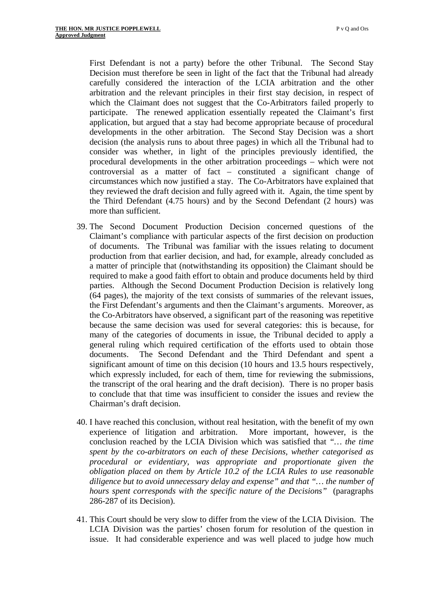First Defendant is not a party) before the other Tribunal. The Second Stay Decision must therefore be seen in light of the fact that the Tribunal had already carefully considered the interaction of the LCIA arbitration and the other arbitration and the relevant principles in their first stay decision, in respect of which the Claimant does not suggest that the Co-Arbitrators failed properly to participate. The renewed application essentially repeated the Claimant's first application, but argued that a stay had become appropriate because of procedural developments in the other arbitration. The Second Stay Decision was a short decision (the analysis runs to about three pages) in which all the Tribunal had to consider was whether, in light of the principles previously identified, the procedural developments in the other arbitration proceedings – which were not controversial as a matter of fact – constituted a significant change of circumstances which now justified a stay. The Co-Arbitrators have explained that they reviewed the draft decision and fully agreed with it. Again, the time spent by the Third Defendant (4.75 hours) and by the Second Defendant (2 hours) was more than sufficient.

- 39. The Second Document Production Decision concerned questions of the Claimant's compliance with particular aspects of the first decision on production of documents. The Tribunal was familiar with the issues relating to document production from that earlier decision, and had, for example, already concluded as a matter of principle that (notwithstanding its opposition) the Claimant should be required to make a good faith effort to obtain and produce documents held by third parties. Although the Second Document Production Decision is relatively long (64 pages), the majority of the text consists of summaries of the relevant issues, the First Defendant's arguments and then the Claimant's arguments. Moreover, as the Co-Arbitrators have observed, a significant part of the reasoning was repetitive because the same decision was used for several categories: this is because, for many of the categories of documents in issue, the Tribunal decided to apply a general ruling which required certification of the efforts used to obtain those documents. The Second Defendant and the Third Defendant and spent a significant amount of time on this decision (10 hours and 13.5 hours respectively, which expressly included, for each of them, time for reviewing the submissions, the transcript of the oral hearing and the draft decision). There is no proper basis to conclude that that time was insufficient to consider the issues and review the Chairman's draft decision.
- 40. I have reached this conclusion, without real hesitation, with the benefit of my own experience of litigation and arbitration. More important, however, is the conclusion reached by the LCIA Division which was satisfied that *"… the time spent by the co-arbitrators on each of these Decisions, whether categorised as procedural or evidentiary, was appropriate and proportionate given the obligation placed on them by Article 10.2 of the LCIA Rules to use reasonable diligence but to avoid unnecessary delay and expense" and that "… the number of hours spent corresponds with the specific nature of the Decisions"* (paragraphs 286-287 of its Decision).
- 41. This Court should be very slow to differ from the view of the LCIA Division. The LCIA Division was the parties' chosen forum for resolution of the question in issue. It had considerable experience and was well placed to judge how much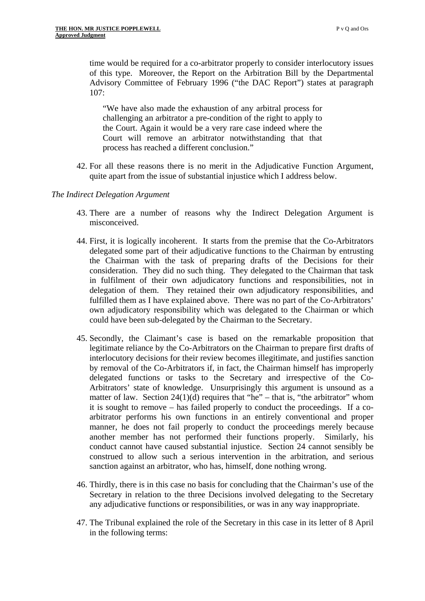time would be required for a co-arbitrator properly to consider interlocutory issues of this type. Moreover, the Report on the Arbitration Bill by the Departmental Advisory Committee of February 1996 ("the DAC Report") states at paragraph 107:

"We have also made the exhaustion of any arbitral process for challenging an arbitrator a pre-condition of the right to apply to the Court. Again it would be a very rare case indeed where the Court will remove an arbitrator notwithstanding that that process has reached a different conclusion."

42. For all these reasons there is no merit in the Adjudicative Function Argument, quite apart from the issue of substantial injustice which I address below.

#### *The Indirect Delegation Argument*

- 43. There are a number of reasons why the Indirect Delegation Argument is misconceived.
- 44. First, it is logically incoherent. It starts from the premise that the Co-Arbitrators delegated some part of their adjudicative functions to the Chairman by entrusting the Chairman with the task of preparing drafts of the Decisions for their consideration. They did no such thing. They delegated to the Chairman that task in fulfilment of their own adjudicatory functions and responsibilities, not in delegation of them. They retained their own adjudicatory responsibilities, and fulfilled them as I have explained above. There was no part of the Co-Arbitrators' own adjudicatory responsibility which was delegated to the Chairman or which could have been sub-delegated by the Chairman to the Secretary.
- 45. Secondly, the Claimant's case is based on the remarkable proposition that legitimate reliance by the Co-Arbitrators on the Chairman to prepare first drafts of interlocutory decisions for their review becomes illegitimate, and justifies sanction by removal of the Co-Arbitrators if, in fact, the Chairman himself has improperly delegated functions or tasks to the Secretary and irrespective of the Co-Arbitrators' state of knowledge. Unsurprisingly this argument is unsound as a matter of law. Section  $24(1)(d)$  requires that "he" – that is, "the arbitrator" whom it is sought to remove – has failed properly to conduct the proceedings. If a coarbitrator performs his own functions in an entirely conventional and proper manner, he does not fail properly to conduct the proceedings merely because another member has not performed their functions properly. Similarly, his conduct cannot have caused substantial injustice. Section 24 cannot sensibly be construed to allow such a serious intervention in the arbitration, and serious sanction against an arbitrator, who has, himself, done nothing wrong.
- 46. Thirdly, there is in this case no basis for concluding that the Chairman's use of the Secretary in relation to the three Decisions involved delegating to the Secretary any adjudicative functions or responsibilities, or was in any way inappropriate.
- 47. The Tribunal explained the role of the Secretary in this case in its letter of 8 April in the following terms: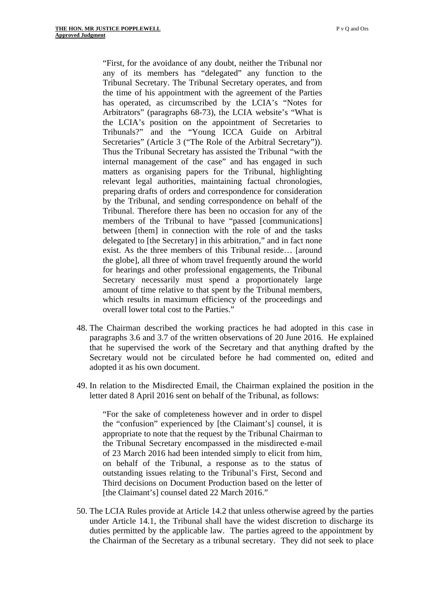"First, for the avoidance of any doubt, neither the Tribunal nor any of its members has "delegated" any function to the Tribunal Secretary. The Tribunal Secretary operates, and from the time of his appointment with the agreement of the Parties has operated, as circumscribed by the LCIA's "Notes for Arbitrators" (paragraphs 68-73), the LCIA website's "What is the LCIA's position on the appointment of Secretaries to Tribunals?" and the "Young ICCA Guide on Arbitral Secretaries" (Article 3 ("The Role of the Arbitral Secretary")). Thus the Tribunal Secretary has assisted the Tribunal "with the internal management of the case" and has engaged in such matters as organising papers for the Tribunal, highlighting relevant legal authorities, maintaining factual chronologies, preparing drafts of orders and correspondence for consideration by the Tribunal, and sending correspondence on behalf of the Tribunal. Therefore there has been no occasion for any of the members of the Tribunal to have "passed [communications] between [them] in connection with the role of and the tasks delegated to [the Secretary] in this arbitration," and in fact none exist. As the three members of this Tribunal reside… [around the globe], all three of whom travel frequently around the world for hearings and other professional engagements, the Tribunal Secretary necessarily must spend a proportionately large amount of time relative to that spent by the Tribunal members, which results in maximum efficiency of the proceedings and overall lower total cost to the Parties."

- 48. The Chairman described the working practices he had adopted in this case in paragraphs 3.6 and 3.7 of the written observations of 20 June 2016. He explained that he supervised the work of the Secretary and that anything drafted by the Secretary would not be circulated before he had commented on, edited and adopted it as his own document.
- 49. In relation to the Misdirected Email, the Chairman explained the position in the letter dated 8 April 2016 sent on behalf of the Tribunal, as follows:

"For the sake of completeness however and in order to dispel the "confusion" experienced by [the Claimant's] counsel, it is appropriate to note that the request by the Tribunal Chairman to the Tribunal Secretary encompassed in the misdirected e-mail of 23 March 2016 had been intended simply to elicit from him, on behalf of the Tribunal, a response as to the status of outstanding issues relating to the Tribunal's First, Second and Third decisions on Document Production based on the letter of [the Claimant's] counsel dated 22 March 2016."

50. The LCIA Rules provide at Article 14.2 that unless otherwise agreed by the parties under Article 14.1, the Tribunal shall have the widest discretion to discharge its duties permitted by the applicable law. The parties agreed to the appointment by the Chairman of the Secretary as a tribunal secretary. They did not seek to place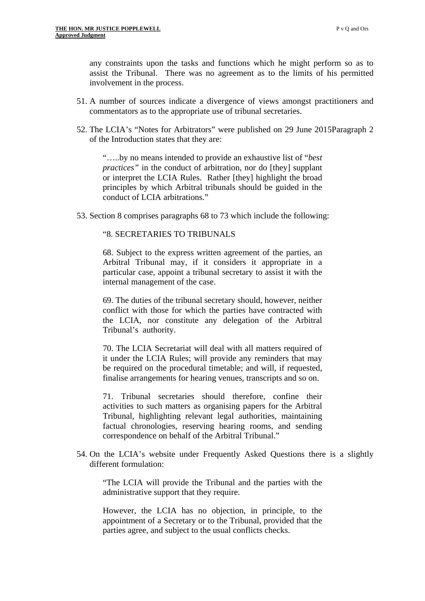any constraints upon the tasks and functions which he might perform so as to assist the Tribunal. There was no agreement as to the limits of his permitted involvement in the process.

- 51. A number of sources indicate a divergence of views amongst practitioners and commentators as to the appropriate use of tribunal secretaries.
- 52. The LCIA's "Notes for Arbitrators" were published on 29 June 2015Paragraph 2 of the Introduction states that they are:

"…..by no means intended to provide an exhaustive list of "*best practices"* in the conduct of arbitration, nor do [they] supplant or interpret the LCIA Rules. Rather [they] highlight the broad principles by which Arbitral tribunals should be guided in the conduct of LCIA arbitrations."

53. Section 8 comprises paragraphs 68 to 73 which include the following:

## "8. SECRETARIES TO TRIBUNALS

68. Subject to the express written agreement of the parties, an Arbitral Tribunal may, if it considers it appropriate in a particular case, appoint a tribunal secretary to assist it with the internal management of the case.

69. The duties of the tribunal secretary should, however, neither conflict with those for which the parties have contracted with the LCIA, nor constitute any delegation of the Arbitral Tribunal's authority.

70. The LCIA Secretariat will deal with all matters required of it under the LCIA Rules; will provide any reminders that may be required on the procedural timetable; and will, if requested, finalise arrangements for hearing venues, transcripts and so on.

71. Tribunal secretaries should therefore, confine their activities to such matters as organising papers for the Arbitral Tribunal, highlighting relevant legal authorities, maintaining factual chronologies, reserving hearing rooms, and sending correspondence on behalf of the Arbitral Tribunal."

54. On the LCIA's website under Frequently Asked Questions there is a slightly different formulation:

"The LCIA will provide the Tribunal and the parties with the administrative support that they require.

However, the LCIA has no objection, in principle, to the appointment of a Secretary or to the Tribunal, provided that the parties agree, and subject to the usual conflicts checks.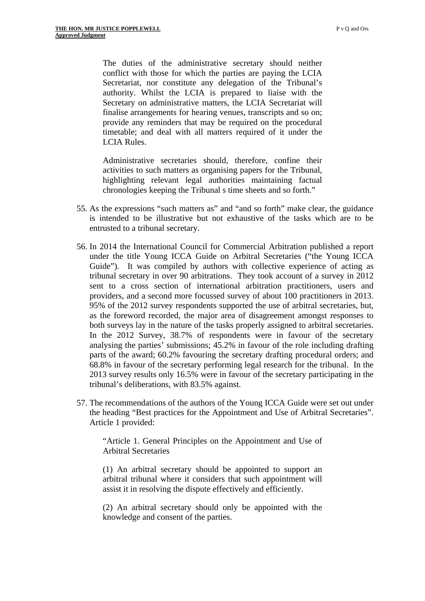The duties of the administrative secretary should neither conflict with those for which the parties are paying the LCIA Secretariat, nor constitute any delegation of the Tribunal's authority. Whilst the LCIA is prepared to liaise with the Secretary on administrative matters, the LCIA Secretariat will finalise arrangements for hearing venues, transcripts and so on; provide any reminders that may be required on the procedural timetable; and deal with all matters required of it under the LCIA Rules.

Administrative secretaries should, therefore, confine their activities to such matters as organising papers for the Tribunal, highlighting relevant legal authorities maintaining factual chronologies keeping the Tribunal s time sheets and so forth."

- 55. As the expressions "such matters as" and "and so forth" make clear, the guidance is intended to be illustrative but not exhaustive of the tasks which are to be entrusted to a tribunal secretary.
- 56. In 2014 the International Council for Commercial Arbitration published a report under the title Young ICCA Guide on Arbitral Secretaries ("the Young ICCA Guide"). It was compiled by authors with collective experience of acting as tribunal secretary in over 90 arbitrations. They took account of a survey in 2012 sent to a cross section of international arbitration practitioners, users and providers, and a second more focussed survey of about 100 practitioners in 2013. 95% of the 2012 survey respondents supported the use of arbitral secretaries, but, as the foreword recorded, the major area of disagreement amongst responses to both surveys lay in the nature of the tasks properly assigned to arbitral secretaries. In the 2012 Survey, 38.7% of respondents were in favour of the secretary analysing the parties' submissions; 45.2% in favour of the role including drafting parts of the award; 60.2% favouring the secretary drafting procedural orders; and 68.8% in favour of the secretary performing legal research for the tribunal. In the 2013 survey results only 16.5% were in favour of the secretary participating in the tribunal's deliberations, with 83.5% against.
- 57. The recommendations of the authors of the Young ICCA Guide were set out under the heading "Best practices for the Appointment and Use of Arbitral Secretaries". Article 1 provided:

"Article 1. General Principles on the Appointment and Use of Arbitral Secretaries

(1) An arbitral secretary should be appointed to support an arbitral tribunal where it considers that such appointment will assist it in resolving the dispute effectively and efficiently.

(2) An arbitral secretary should only be appointed with the knowledge and consent of the parties.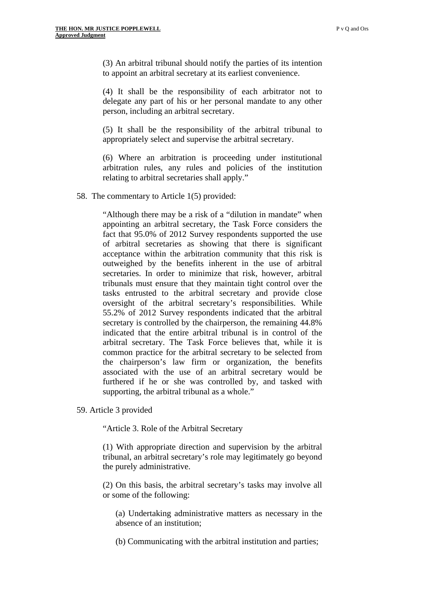(3) An arbitral tribunal should notify the parties of its intention to appoint an arbitral secretary at its earliest convenience.

(4) It shall be the responsibility of each arbitrator not to delegate any part of his or her personal mandate to any other person, including an arbitral secretary.

(5) It shall be the responsibility of the arbitral tribunal to appropriately select and supervise the arbitral secretary.

(6) Where an arbitration is proceeding under institutional arbitration rules, any rules and policies of the institution relating to arbitral secretaries shall apply."

58. The commentary to Article 1(5) provided:

"Although there may be a risk of a "dilution in mandate" when appointing an arbitral secretary, the Task Force considers the fact that 95.0% of 2012 Survey respondents supported the use of arbitral secretaries as showing that there is significant acceptance within the arbitration community that this risk is outweighed by the benefits inherent in the use of arbitral secretaries. In order to minimize that risk, however, arbitral tribunals must ensure that they maintain tight control over the tasks entrusted to the arbitral secretary and provide close oversight of the arbitral secretary's responsibilities. While 55.2% of 2012 Survey respondents indicated that the arbitral secretary is controlled by the chairperson, the remaining 44.8% indicated that the entire arbitral tribunal is in control of the arbitral secretary. The Task Force believes that, while it is common practice for the arbitral secretary to be selected from the chairperson's law firm or organization, the benefits associated with the use of an arbitral secretary would be furthered if he or she was controlled by, and tasked with supporting, the arbitral tribunal as a whole."

59. Article 3 provided

"Article 3. Role of the Arbitral Secretary

(1) With appropriate direction and supervision by the arbitral tribunal, an arbitral secretary's role may legitimately go beyond the purely administrative.

(2) On this basis, the arbitral secretary's tasks may involve all or some of the following:

(a) Undertaking administrative matters as necessary in the absence of an institution;

(b) Communicating with the arbitral institution and parties;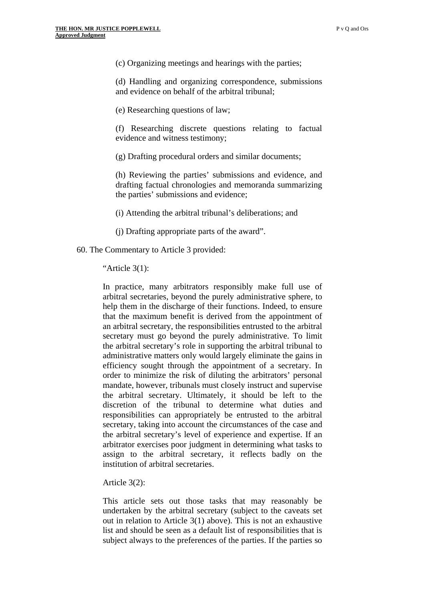(c) Organizing meetings and hearings with the parties;

(d) Handling and organizing correspondence, submissions and evidence on behalf of the arbitral tribunal;

(e) Researching questions of law;

(f) Researching discrete questions relating to factual evidence and witness testimony;

(g) Drafting procedural orders and similar documents;

(h) Reviewing the parties' submissions and evidence, and drafting factual chronologies and memoranda summarizing the parties' submissions and evidence;

(i) Attending the arbitral tribunal's deliberations; and

(j) Drafting appropriate parts of the award".

60. The Commentary to Article 3 provided:

"Article 3(1):

In practice, many arbitrators responsibly make full use of arbitral secretaries, beyond the purely administrative sphere, to help them in the discharge of their functions. Indeed, to ensure that the maximum benefit is derived from the appointment of an arbitral secretary, the responsibilities entrusted to the arbitral secretary must go beyond the purely administrative. To limit the arbitral secretary's role in supporting the arbitral tribunal to administrative matters only would largely eliminate the gains in efficiency sought through the appointment of a secretary. In order to minimize the risk of diluting the arbitrators' personal mandate, however, tribunals must closely instruct and supervise the arbitral secretary. Ultimately, it should be left to the discretion of the tribunal to determine what duties and responsibilities can appropriately be entrusted to the arbitral secretary, taking into account the circumstances of the case and the arbitral secretary's level of experience and expertise. If an arbitrator exercises poor judgment in determining what tasks to assign to the arbitral secretary, it reflects badly on the institution of arbitral secretaries.

Article 3(2):

This article sets out those tasks that may reasonably be undertaken by the arbitral secretary (subject to the caveats set out in relation to Article 3(1) above). This is not an exhaustive list and should be seen as a default list of responsibilities that is subject always to the preferences of the parties. If the parties so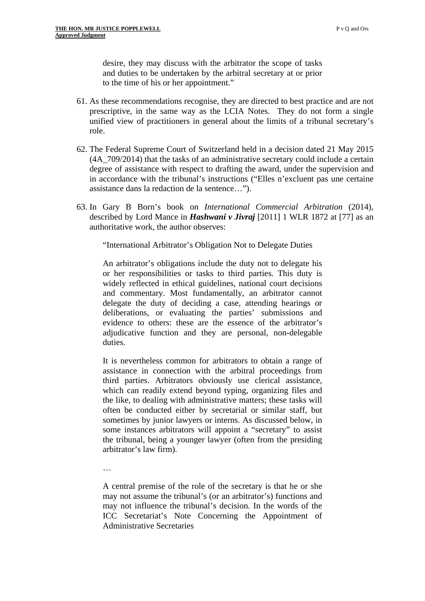desire, they may discuss with the arbitrator the scope of tasks and duties to be undertaken by the arbitral secretary at or prior to the time of his or her appointment."

- 61. As these recommendations recognise, they are directed to best practice and are not prescriptive, in the same way as the LCIA Notes. They do not form a single unified view of practitioners in general about the limits of a tribunal secretary's role.
- 62. The Federal Supreme Court of Switzerland held in a decision dated 21 May 2015 (4A\_709/2014) that the tasks of an administrative secretary could include a certain degree of assistance with respect to drafting the award, under the supervision and in accordance with the tribunal's instructions ("Elles n'excluent pas une certaine assistance dans la redaction de la sentence…").
- 63. In Gary B Born's book on *International Commercial Arbitration* (2014), described by Lord Mance in *Hashwani v Jivraj* [2011] 1 WLR 1872 at [77] as an authoritative work, the author observes:

"International Arbitrator's Obligation Not to Delegate Duties

An arbitrator's obligations include the duty not to delegate his or her responsibilities or tasks to third parties. This duty is widely reflected in ethical guidelines, national court decisions and commentary. Most fundamentally, an arbitrator cannot delegate the duty of deciding a case, attending hearings or deliberations, or evaluating the parties' submissions and evidence to others: these are the essence of the arbitrator's adjudicative function and they are personal, non-delegable duties.

It is nevertheless common for arbitrators to obtain a range of assistance in connection with the arbitral proceedings from third parties. Arbitrators obviously use clerical assistance, which can readily extend beyond typing, organizing files and the like, to dealing with administrative matters; these tasks will often be conducted either by secretarial or similar staff, but sometimes by junior lawyers or interns. As discussed below, in some instances arbitrators will appoint a "secretary" to assist the tribunal, being a younger lawyer (often from the presiding arbitrator's law firm).

…

A central premise of the role of the secretary is that he or she may not assume the tribunal's (or an arbitrator's) functions and may not influence the tribunal's decision. In the words of the ICC Secretariat's Note Concerning the Appointment of Administrative Secretaries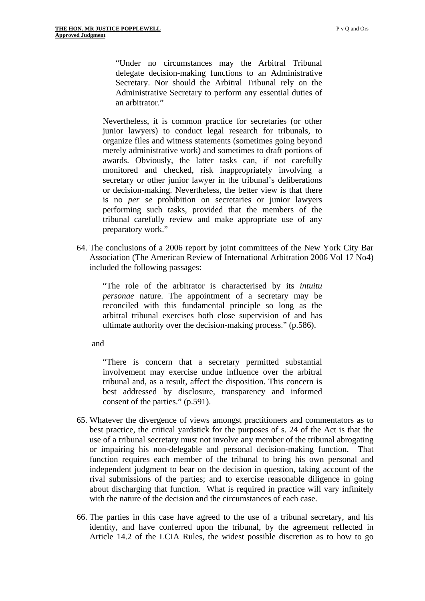"Under no circumstances may the Arbitral Tribunal delegate decision-making functions to an Administrative Secretary. Nor should the Arbitral Tribunal rely on the Administrative Secretary to perform any essential duties of an arbitrator."

Nevertheless, it is common practice for secretaries (or other junior lawyers) to conduct legal research for tribunals, to organize files and witness statements (sometimes going beyond merely administrative work) and sometimes to draft portions of awards. Obviously, the latter tasks can, if not carefully monitored and checked, risk inappropriately involving a secretary or other junior lawyer in the tribunal's deliberations or decision-making. Nevertheless, the better view is that there is no *per se* prohibition on secretaries or junior lawyers performing such tasks, provided that the members of the tribunal carefully review and make appropriate use of any preparatory work."

64. The conclusions of a 2006 report by joint committees of the New York City Bar Association (The American Review of International Arbitration 2006 Vol 17 No4) included the following passages:

"The role of the arbitrator is characterised by its *intuitu personae* nature. The appointment of a secretary may be reconciled with this fundamental principle so long as the arbitral tribunal exercises both close supervision of and has ultimate authority over the decision-making process." (p.586).

and

"There is concern that a secretary permitted substantial involvement may exercise undue influence over the arbitral tribunal and, as a result, affect the disposition. This concern is best addressed by disclosure, transparency and informed consent of the parties." (p.591).

- 65. Whatever the divergence of views amongst practitioners and commentators as to best practice, the critical yardstick for the purposes of s. 24 of the Act is that the use of a tribunal secretary must not involve any member of the tribunal abrogating or impairing his non-delegable and personal decision-making function. That function requires each member of the tribunal to bring his own personal and independent judgment to bear on the decision in question, taking account of the rival submissions of the parties; and to exercise reasonable diligence in going about discharging that function. What is required in practice will vary infinitely with the nature of the decision and the circumstances of each case.
- 66. The parties in this case have agreed to the use of a tribunal secretary, and his identity, and have conferred upon the tribunal, by the agreement reflected in Article 14.2 of the LCIA Rules, the widest possible discretion as to how to go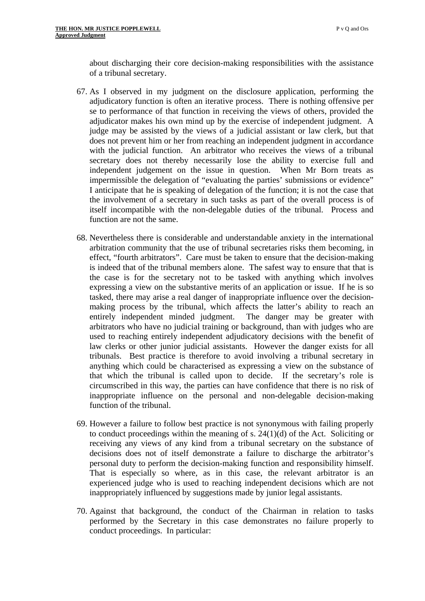about discharging their core decision-making responsibilities with the assistance of a tribunal secretary.

- 67. As I observed in my judgment on the disclosure application, performing the adjudicatory function is often an iterative process. There is nothing offensive per se to performance of that function in receiving the views of others, provided the adjudicator makes his own mind up by the exercise of independent judgment. A judge may be assisted by the views of a judicial assistant or law clerk, but that does not prevent him or her from reaching an independent judgment in accordance with the judicial function. An arbitrator who receives the views of a tribunal secretary does not thereby necessarily lose the ability to exercise full and independent judgement on the issue in question. When Mr Born treats as impermissible the delegation of "evaluating the parties' submissions or evidence" I anticipate that he is speaking of delegation of the function; it is not the case that the involvement of a secretary in such tasks as part of the overall process is of itself incompatible with the non-delegable duties of the tribunal. Process and function are not the same.
- 68. Nevertheless there is considerable and understandable anxiety in the international arbitration community that the use of tribunal secretaries risks them becoming, in effect, "fourth arbitrators". Care must be taken to ensure that the decision-making is indeed that of the tribunal members alone. The safest way to ensure that that is the case is for the secretary not to be tasked with anything which involves expressing a view on the substantive merits of an application or issue. If he is so tasked, there may arise a real danger of inappropriate influence over the decisionmaking process by the tribunal, which affects the latter's ability to reach an entirely independent minded judgment. The danger may be greater with arbitrators who have no judicial training or background, than with judges who are used to reaching entirely independent adjudicatory decisions with the benefit of law clerks or other junior judicial assistants. However the danger exists for all tribunals. Best practice is therefore to avoid involving a tribunal secretary in anything which could be characterised as expressing a view on the substance of that which the tribunal is called upon to decide. If the secretary's role is circumscribed in this way, the parties can have confidence that there is no risk of inappropriate influence on the personal and non-delegable decision-making function of the tribunal.
- 69. However a failure to follow best practice is not synonymous with failing properly to conduct proceedings within the meaning of s.  $24(1)(d)$  of the Act. Soliciting or receiving any views of any kind from a tribunal secretary on the substance of decisions does not of itself demonstrate a failure to discharge the arbitrator's personal duty to perform the decision-making function and responsibility himself. That is especially so where, as in this case, the relevant arbitrator is an experienced judge who is used to reaching independent decisions which are not inappropriately influenced by suggestions made by junior legal assistants.
- 70. Against that background, the conduct of the Chairman in relation to tasks performed by the Secretary in this case demonstrates no failure properly to conduct proceedings. In particular: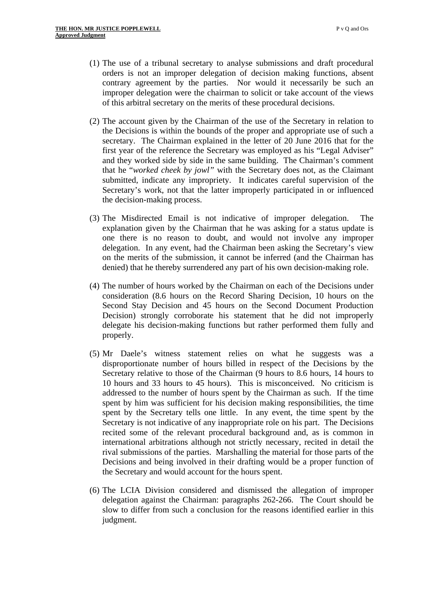- (1) The use of a tribunal secretary to analyse submissions and draft procedural orders is not an improper delegation of decision making functions, absent contrary agreement by the parties. Nor would it necessarily be such an improper delegation were the chairman to solicit or take account of the views of this arbitral secretary on the merits of these procedural decisions.
- (2) The account given by the Chairman of the use of the Secretary in relation to the Decisions is within the bounds of the proper and appropriate use of such a secretary. The Chairman explained in the letter of 20 June 2016 that for the first year of the reference the Secretary was employed as his "Legal Adviser" and they worked side by side in the same building. The Chairman's comment that he "*worked cheek by jowl"* with the Secretary does not, as the Claimant submitted, indicate any impropriety. It indicates careful supervision of the Secretary's work, not that the latter improperly participated in or influenced the decision-making process.
- (3) The Misdirected Email is not indicative of improper delegation. The explanation given by the Chairman that he was asking for a status update is one there is no reason to doubt, and would not involve any improper delegation. In any event, had the Chairman been asking the Secretary's view on the merits of the submission, it cannot be inferred (and the Chairman has denied) that he thereby surrendered any part of his own decision-making role.
- (4) The number of hours worked by the Chairman on each of the Decisions under consideration (8.6 hours on the Record Sharing Decision, 10 hours on the Second Stay Decision and 45 hours on the Second Document Production Decision) strongly corroborate his statement that he did not improperly delegate his decision-making functions but rather performed them fully and properly.
- (5) Mr Daele's witness statement relies on what he suggests was a disproportionate number of hours billed in respect of the Decisions by the Secretary relative to those of the Chairman (9 hours to 8.6 hours, 14 hours to 10 hours and 33 hours to 45 hours). This is misconceived. No criticism is addressed to the number of hours spent by the Chairman as such. If the time spent by him was sufficient for his decision making responsibilities, the time spent by the Secretary tells one little. In any event, the time spent by the Secretary is not indicative of any inappropriate role on his part. The Decisions recited some of the relevant procedural background and, as is common in international arbitrations although not strictly necessary, recited in detail the rival submissions of the parties. Marshalling the material for those parts of the Decisions and being involved in their drafting would be a proper function of the Secretary and would account for the hours spent.
- (6) The LCIA Division considered and dismissed the allegation of improper delegation against the Chairman: paragraphs 262-266. The Court should be slow to differ from such a conclusion for the reasons identified earlier in this judgment.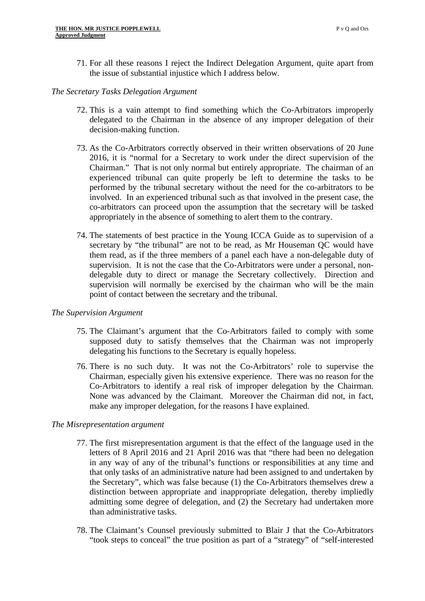71. For all these reasons I reject the Indirect Delegation Argument, quite apart from the issue of substantial injustice which I address below.

#### *The Secretary Tasks Delegation Argument*

- 72. This is a vain attempt to find something which the Co-Arbitrators improperly delegated to the Chairman in the absence of any improper delegation of their decision-making function.
- 73. As the Co-Arbitrators correctly observed in their written observations of 20 June 2016, it is "normal for a Secretary to work under the direct supervision of the Chairman." That is not only normal but entirely appropriate. The chairman of an experienced tribunal can quite properly be left to determine the tasks to be performed by the tribunal secretary without the need for the co-arbitrators to be involved. In an experienced tribunal such as that involved in the present case, the co-arbitrators can proceed upon the assumption that the secretary will be tasked appropriately in the absence of something to alert them to the contrary.
- 74. The statements of best practice in the Young ICCA Guide as to supervision of a secretary by "the tribunal" are not to be read, as Mr Houseman QC would have them read, as if the three members of a panel each have a non-delegable duty of supervision. It is not the case that the Co-Arbitrators were under a personal, nondelegable duty to direct or manage the Secretary collectively. Direction and supervision will normally be exercised by the chairman who will be the main point of contact between the secretary and the tribunal.

## *The Supervision Argument*

- 75. The Claimant's argument that the Co-Arbitrators failed to comply with some supposed duty to satisfy themselves that the Chairman was not improperly delegating his functions to the Secretary is equally hopeless.
- 76. There is no such duty. It was not the Co-Arbitrators' role to supervise the Chairman, especially given his extensive experience. There was no reason for the Co-Arbitrators to identify a real risk of improper delegation by the Chairman. None was advanced by the Claimant. Moreover the Chairman did not, in fact, make any improper delegation, for the reasons I have explained.

## *The Misrepresentation argument*

- 77. The first misrepresentation argument is that the effect of the language used in the letters of 8 April 2016 and 21 April 2016 was that "there had been no delegation in any way of any of the tribunal's functions or responsibilities at any time and that only tasks of an administrative nature had been assigned to and undertaken by the Secretary", which was false because (1) the Co-Arbitrators themselves drew a distinction between appropriate and inappropriate delegation, thereby impliedly admitting some degree of delegation, and (2) the Secretary had undertaken more than administrative tasks.
- 78. The Claimant's Counsel previously submitted to Blair J that the Co-Arbitrators "took steps to conceal" the true position as part of a "strategy" of "self-interested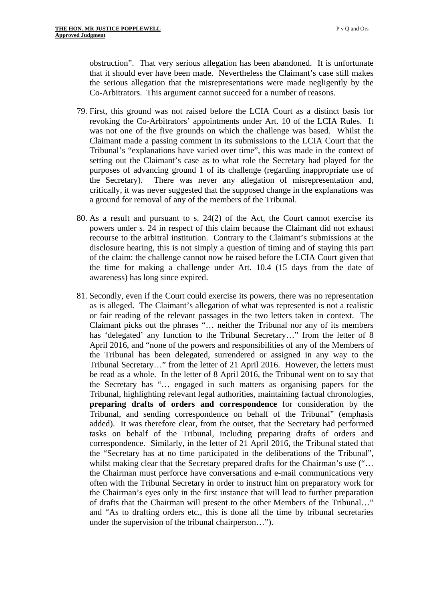obstruction". That very serious allegation has been abandoned. It is unfortunate that it should ever have been made. Nevertheless the Claimant's case still makes the serious allegation that the misrepresentations were made negligently by the Co-Arbitrators. This argument cannot succeed for a number of reasons.

- 79. First, this ground was not raised before the LCIA Court as a distinct basis for revoking the Co-Arbitrators' appointments under Art. 10 of the LCIA Rules. It was not one of the five grounds on which the challenge was based. Whilst the Claimant made a passing comment in its submissions to the LCIA Court that the Tribunal's "explanations have varied over time", this was made in the context of setting out the Claimant's case as to what role the Secretary had played for the purposes of advancing ground 1 of its challenge (regarding inappropriate use of the Secretary). There was never any allegation of misrepresentation and, critically, it was never suggested that the supposed change in the explanations was a ground for removal of any of the members of the Tribunal.
- 80. As a result and pursuant to s. 24(2) of the Act, the Court cannot exercise its powers under s. 24 in respect of this claim because the Claimant did not exhaust recourse to the arbitral institution. Contrary to the Claimant's submissions at the disclosure hearing, this is not simply a question of timing and of staying this part of the claim: the challenge cannot now be raised before the LCIA Court given that the time for making a challenge under Art. 10.4 (15 days from the date of awareness) has long since expired.
- 81. Secondly, even if the Court could exercise its powers, there was no representation as is alleged. The Claimant's allegation of what was represented is not a realistic or fair reading of the relevant passages in the two letters taken in context. The Claimant picks out the phrases "… neither the Tribunal nor any of its members has 'delegated' any function to the Tribunal Secretary..." from the letter of 8 April 2016, and "none of the powers and responsibilities of any of the Members of the Tribunal has been delegated, surrendered or assigned in any way to the Tribunal Secretary…" from the letter of 21 April 2016. However, the letters must be read as a whole. In the letter of 8 April 2016, the Tribunal went on to say that the Secretary has "… engaged in such matters as organising papers for the Tribunal, highlighting relevant legal authorities, maintaining factual chronologies, **preparing drafts of orders and correspondence** for consideration by the Tribunal, and sending correspondence on behalf of the Tribunal" (emphasis added). It was therefore clear, from the outset, that the Secretary had performed tasks on behalf of the Tribunal, including preparing drafts of orders and correspondence. Similarly, in the letter of 21 April 2016, the Tribunal stated that the "Secretary has at no time participated in the deliberations of the Tribunal", whilst making clear that the Secretary prepared drafts for the Chairman's use ("... the Chairman must perforce have conversations and e-mail communications very often with the Tribunal Secretary in order to instruct him on preparatory work for the Chairman's eyes only in the first instance that will lead to further preparation of drafts that the Chairman will present to the other Members of the Tribunal…" and "As to drafting orders etc., this is done all the time by tribunal secretaries under the supervision of the tribunal chairperson…").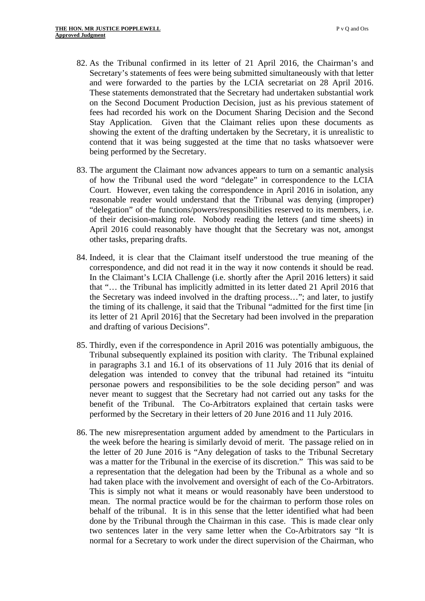- 82. As the Tribunal confirmed in its letter of 21 April 2016, the Chairman's and Secretary's statements of fees were being submitted simultaneously with that letter and were forwarded to the parties by the LCIA secretariat on 28 April 2016. These statements demonstrated that the Secretary had undertaken substantial work on the Second Document Production Decision, just as his previous statement of fees had recorded his work on the Document Sharing Decision and the Second Stay Application. Given that the Claimant relies upon these documents as showing the extent of the drafting undertaken by the Secretary, it is unrealistic to contend that it was being suggested at the time that no tasks whatsoever were being performed by the Secretary.
- 83. The argument the Claimant now advances appears to turn on a semantic analysis of how the Tribunal used the word "delegate" in correspondence to the LCIA Court. However, even taking the correspondence in April 2016 in isolation, any reasonable reader would understand that the Tribunal was denying (improper) "delegation" of the functions/powers/responsibilities reserved to its members, i.e. of their decision-making role. Nobody reading the letters (and time sheets) in April 2016 could reasonably have thought that the Secretary was not, amongst other tasks, preparing drafts.
- 84. Indeed, it is clear that the Claimant itself understood the true meaning of the correspondence, and did not read it in the way it now contends it should be read. In the Claimant's LCIA Challenge (i.e. shortly after the April 2016 letters) it said that "… the Tribunal has implicitly admitted in its letter dated 21 April 2016 that the Secretary was indeed involved in the drafting process…"; and later, to justify the timing of its challenge, it said that the Tribunal "admitted for the first time [in its letter of 21 April 2016] that the Secretary had been involved in the preparation and drafting of various Decisions".
- 85. Thirdly, even if the correspondence in April 2016 was potentially ambiguous, the Tribunal subsequently explained its position with clarity. The Tribunal explained in paragraphs 3.1 and 16.1 of its observations of 11 July 2016 that its denial of delegation was intended to convey that the tribunal had retained its "intuitu personae powers and responsibilities to be the sole deciding person" and was never meant to suggest that the Secretary had not carried out any tasks for the benefit of the Tribunal. The Co-Arbitrators explained that certain tasks were performed by the Secretary in their letters of 20 June 2016 and 11 July 2016.
- had taken place with the involvement and oversight of each of the Co-Arbitrators. This is simply not what it means or would reasonably have been understood to 86. The new misrepresentation argument added by amendment to the Particulars in the week before the hearing is similarly devoid of merit. The passage relied on in the letter of 20 June 2016 is "Any delegation of tasks to the Tribunal Secretary was a matter for the Tribunal in the exercise of its discretion." This was said to be a representation that the delegation had been by the Tribunal as a whole and so mean. The normal practice would be for the chairman to perform those roles on behalf of the tribunal. It is in this sense that the letter identified what had been done by the Tribunal through the Chairman in this case. This is made clear only two sentences later in the very same letter when the Co-Arbitrators say "It is normal for a Secretary to work under the direct supervision of the Chairman, who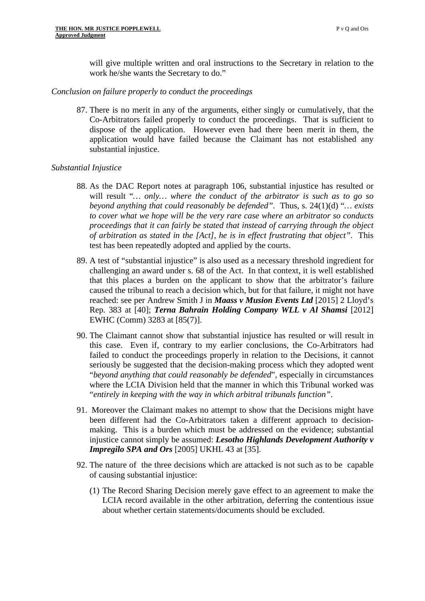will give multiple written and oral instructions to the Secretary in relation to the work he/she wants the Secretary to do."

#### *Conclusion on failure properly to conduct the proceedings*

87. There is no merit in any of the arguments, either singly or cumulatively, that the Co-Arbitrators failed properly to conduct the proceedings. That is sufficient to dispose of the application. However even had there been merit in them, the application would have failed because the Claimant has not established any substantial injustice.

## *Substantial Injustice*

- 88. As the DAC Report notes at paragraph 106, substantial injustice has resulted or will result "*… only… where the conduct of the arbitrator is such as to go so beyond anything that could reasonably be defended".* Thus, s. 24(1)(d) "*… exists to cover what we hope will be the very rare case where an arbitrator so conducts proceedings that it can fairly be stated that instead of carrying through the object of arbitration as stated in the [Act], he is in effect frustrating that object"*. This test has been repeatedly adopted and applied by the courts.
- 89. A test of "substantial injustice" is also used as a necessary threshold ingredient for challenging an award under s. 68 of the Act. In that context, it is well established that this places a burden on the applicant to show that the arbitrator's failure caused the tribunal to reach a decision which, but for that failure, it might not have reached: see per Andrew Smith J in *Maass v Musion Events Ltd* [2015] 2 Lloyd's Rep. 383 at [40]; *Terna Bahrain Holding Company WLL v Al Shamsi* [2012] EWHC (Comm) 3283 at [85(7)].
- 90. The Claimant cannot show that substantial injustice has resulted or will result in this case. Even if, contrary to my earlier conclusions, the Co-Arbitrators had failed to conduct the proceedings properly in relation to the Decisions, it cannot seriously be suggested that the decision-making process which they adopted went "*beyond anything that could reasonably be defended*", especially in circumstances where the LCIA Division held that the manner in which this Tribunal worked was "*entirely in keeping with the way in which arbitral tribunals function"*.
- 91. Moreover the Claimant makes no attempt to show that the Decisions might have been different had the Co-Arbitrators taken a different approach to decisionmaking. This is a burden which must be addressed on the evidence; substantial injustice cannot simply be assumed: *Lesotho Highlands Development Authority v Impregilo SPA and Ors* [2005] UKHL 43 at [35].
- 92. The nature of the three decisions which are attacked is not such as to be capable of causing substantial injustice:
	- (1) The Record Sharing Decision merely gave effect to an agreement to make the LCIA record available in the other arbitration, deferring the contentious issue about whether certain statements/documents should be excluded.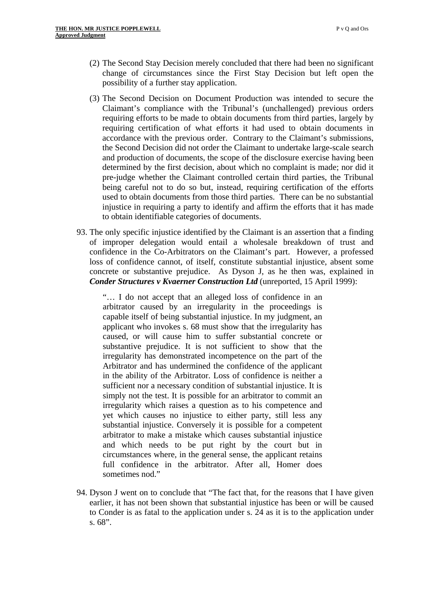- (2) The Second Stay Decision merely concluded that there had been no significant change of circumstances since the First Stay Decision but left open the possibility of a further stay application.
- (3) The Second Decision on Document Production was intended to secure the Claimant's compliance with the Tribunal's (unchallenged) previous orders requiring efforts to be made to obtain documents from third parties, largely by requiring certification of what efforts it had used to obtain documents in accordance with the previous order. Contrary to the Claimant's submissions, the Second Decision did not order the Claimant to undertake large-scale search and production of documents, the scope of the disclosure exercise having been determined by the first decision, about which no complaint is made; nor did it pre-judge whether the Claimant controlled certain third parties, the Tribunal being careful not to do so but, instead, requiring certification of the efforts used to obtain documents from those third parties. There can be no substantial injustice in requiring a party to identify and affirm the efforts that it has made to obtain identifiable categories of documents.
- 93. The only specific injustice identified by the Claimant is an assertion that a finding of improper delegation would entail a wholesale breakdown of trust and confidence in the Co-Arbitrators on the Claimant's part. However, a professed loss of confidence cannot, of itself, constitute substantial injustice, absent some concrete or substantive prejudice. As Dyson J, as he then was, explained in *Conder Structures v Kvaerner Construction Ltd* (unreported, 15 April 1999):

"… I do not accept that an alleged loss of confidence in an arbitrator caused by an irregularity in the proceedings is capable itself of being substantial injustice. In my judgment, an applicant who invokes s. 68 must show that the irregularity has caused, or will cause him to suffer substantial concrete or substantive prejudice. It is not sufficient to show that the irregularity has demonstrated incompetence on the part of the Arbitrator and has undermined the confidence of the applicant in the ability of the Arbitrator. Loss of confidence is neither a sufficient nor a necessary condition of substantial injustice. It is simply not the test. It is possible for an arbitrator to commit an irregularity which raises a question as to his competence and yet which causes no injustice to either party, still less any substantial injustice. Conversely it is possible for a competent arbitrator to make a mistake which causes substantial injustice and which needs to be put right by the court but in circumstances where, in the general sense, the applicant retains full confidence in the arbitrator. After all, Homer does sometimes nod."

94. Dyson J went on to conclude that "The fact that, for the reasons that I have given earlier, it has not been shown that substantial injustice has been or will be caused to Conder is as fatal to the application under s. 24 as it is to the application under s. 68".